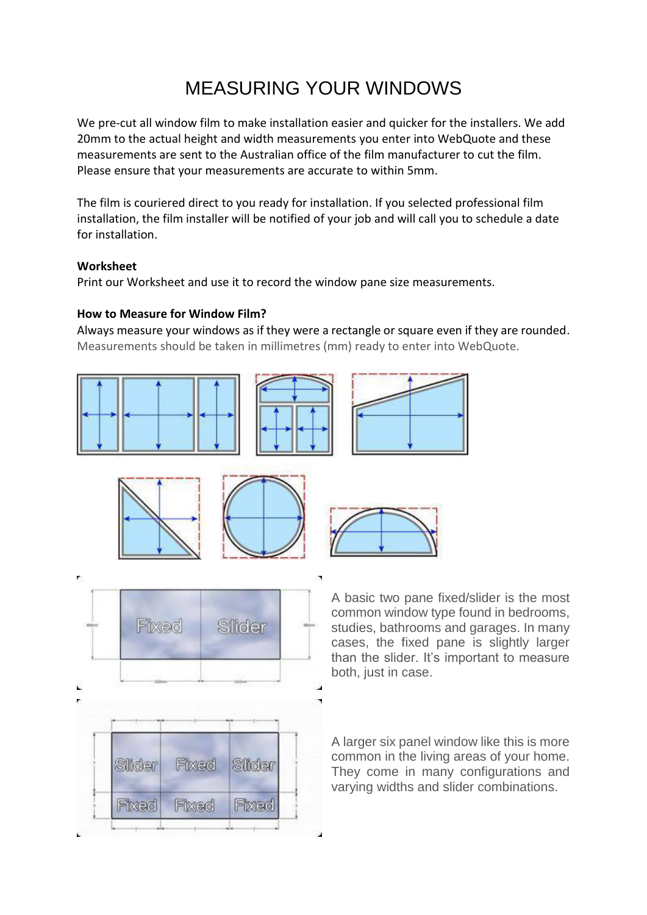# MEASURING YOUR WINDOWS

We pre-cut all window film to make installation easier and quicker for the installers. We add 20mm to the actual height and width measurements you enter into WebQuote and these measurements are sent to the Australian office of the film manufacturer to cut the film. Please ensure that your measurements are accurate to within 5mm.

The film is couriered direct to you ready for installation. If you selected professional film installation, the film installer will be notified of your job and will call you to schedule a date for installation.

#### **Worksheet**

Print our Worksheet and use it to record the window pane size measurements.

#### **How to Measure for Window Film?**

Always measure your windows as if they were a rectangle or square even if they are rounded. Measurements should be taken in millimetres (mm) ready to enter into WebQuote.













A basic two pane fixed/slider is the most common window type found in bedrooms, studies, bathrooms and garages. In many cases, the fixed pane is slightly larger than the slider. It's important to measure both, just in case.

A larger six panel window like this is more common in the living areas of your home. They come in many configurations and varying widths and slider combinations.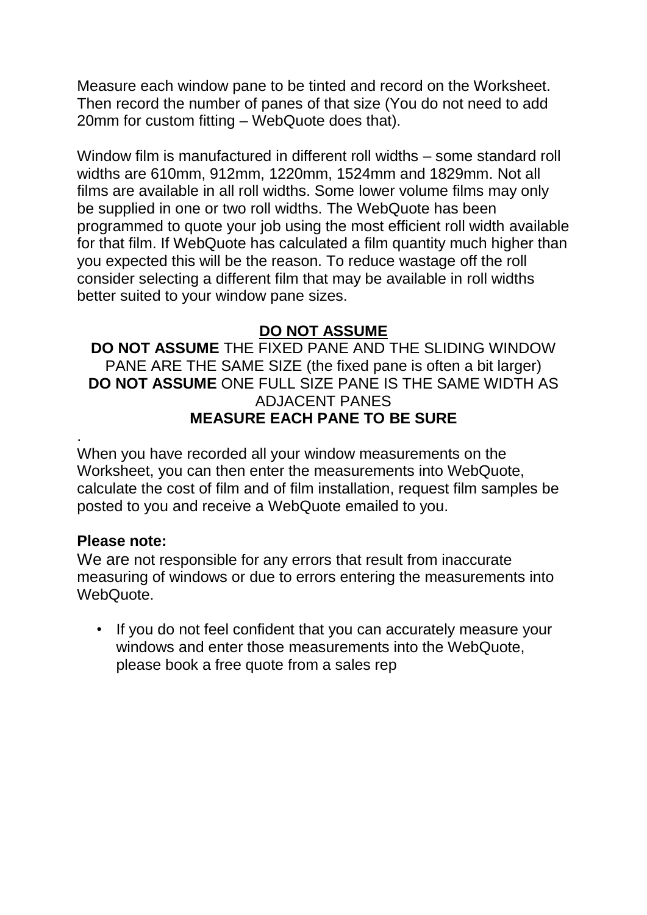Measure each window pane to be tinted and record on the Worksheet. Then record the number of panes of that size (You do not need to add 20mm for custom fitting – WebQuote does that).

Window film is manufactured in different roll widths – some standard roll widths are 610mm, 912mm, 1220mm, 1524mm and 1829mm. Not all films are available in all roll widths. Some lower volume films may only be supplied in one or two roll widths. The WebQuote has been programmed to quote your job using the most efficient roll width available for that film. If WebQuote has calculated a film quantity much higher than you expected this will be the reason. To reduce wastage off the roll consider selecting a different film that may be available in roll widths better suited to your window pane sizes.

### **DO NOT ASSUME**

**DO NOT ASSUME** THE FIXED PANE AND THE SLIDING WINDOW PANE ARE THE SAME SIZE (the fixed pane is often a bit larger) **DO NOT ASSUME** ONE FULL SIZE PANE IS THE SAME WIDTH AS ADJACENT PANES **MEASURE EACH PANE TO BE SURE**

When you have recorded all your window measurements on the Worksheet, you can then enter the measurements into WebQuote, calculate the cost of film and of film installation, request film samples be posted to you and receive a WebQuote emailed to you.

### **Please note:**

.

We are not responsible for any errors that result from inaccurate measuring of windows or due to errors entering the measurements into **WebQuote** 

• If you do not feel confident that you can accurately measure your windows and enter those measurements into the WebQuote, please book a free quote from a sales rep